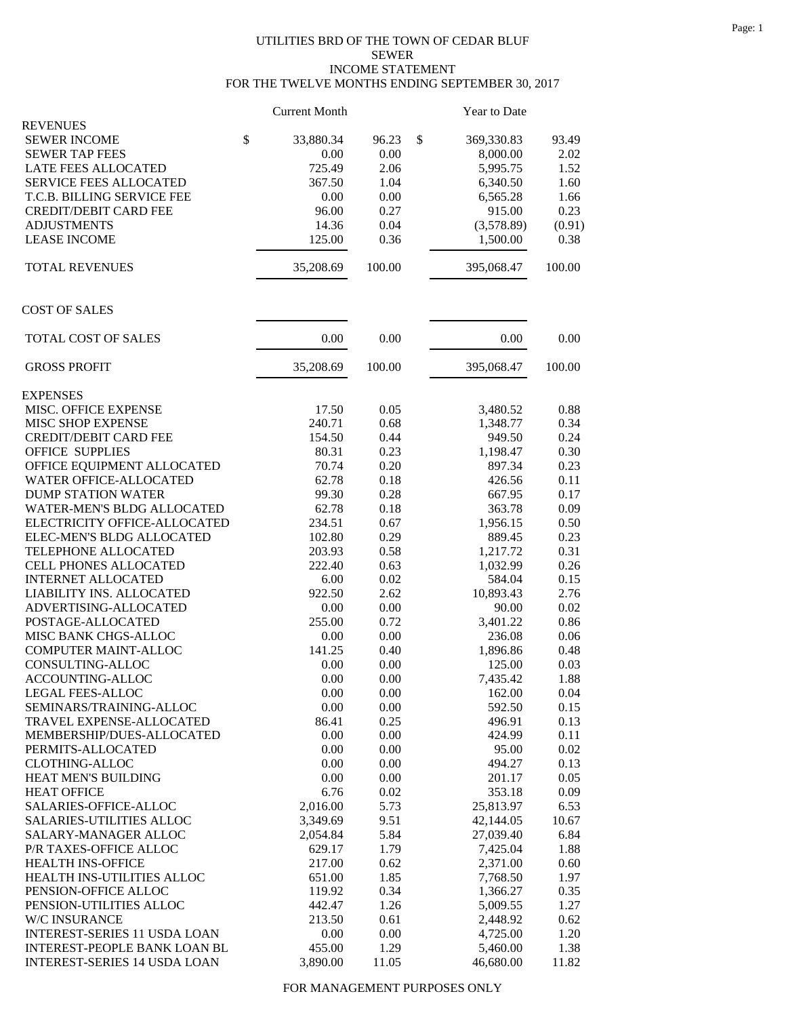## UTILITIES BRD OF THE TOWN OF CEDAR BLUF SEWER INCOME STATEMENT FOR THE TWELVE MONTHS ENDING SEPTEMBER 30, 2017

|                                     | <b>Current Month</b> |          | Year to Date     |        |
|-------------------------------------|----------------------|----------|------------------|--------|
| <b>REVENUES</b>                     |                      |          |                  |        |
| <b>SEWER INCOME</b>                 | \$<br>33,880.34      | 96.23    | \$<br>369,330.83 | 93.49  |
| <b>SEWER TAP FEES</b>               | 0.00                 | 0.00     | 8,000.00         | 2.02   |
| LATE FEES ALLOCATED                 | 725.49               | 2.06     | 5,995.75         | 1.52   |
| <b>SERVICE FEES ALLOCATED</b>       | 367.50               | 1.04     | 6,340.50         | 1.60   |
| T.C.B. BILLING SERVICE FEE          | 0.00                 | 0.00     | 6,565.28         | 1.66   |
| <b>CREDIT/DEBIT CARD FEE</b>        | 96.00                | 0.27     | 915.00           | 0.23   |
| <b>ADJUSTMENTS</b>                  | 14.36                | 0.04     | (3,578.89)       | (0.91) |
| <b>LEASE INCOME</b>                 | 125.00               | 0.36     | 1,500.00         | 0.38   |
| <b>TOTAL REVENUES</b>               | 35,208.69            | 100.00   | 395,068.47       | 100.00 |
| <b>COST OF SALES</b>                |                      |          |                  |        |
| TOTAL COST OF SALES                 | 0.00                 | 0.00     | 0.00             | 0.00   |
| <b>GROSS PROFIT</b>                 | 35,208.69            | 100.00   | 395,068.47       | 100.00 |
| <b>EXPENSES</b>                     |                      |          |                  |        |
| MISC. OFFICE EXPENSE                | 17.50                | 0.05     | 3,480.52         | 0.88   |
| MISC SHOP EXPENSE                   | 240.71               | 0.68     | 1,348.77         | 0.34   |
| <b>CREDIT/DEBIT CARD FEE</b>        | 154.50               | 0.44     | 949.50           | 0.24   |
| <b>OFFICE SUPPLIES</b>              | 80.31                | 0.23     | 1,198.47         | 0.30   |
| OFFICE EQUIPMENT ALLOCATED          | 70.74                | 0.20     | 897.34           | 0.23   |
| <b>WATER OFFICE-ALLOCATED</b>       | 62.78                | 0.18     | 426.56           | 0.11   |
| <b>DUMP STATION WATER</b>           | 99.30                | 0.28     | 667.95           | 0.17   |
| WATER-MEN'S BLDG ALLOCATED          | 62.78                | 0.18     | 363.78           | 0.09   |
| ELECTRICITY OFFICE-ALLOCATED        | 234.51               | 0.67     | 1,956.15         | 0.50   |
| ELEC-MEN'S BLDG ALLOCATED           | 102.80               | 0.29     | 889.45           | 0.23   |
| TELEPHONE ALLOCATED                 | 203.93               | 0.58     | 1,217.72         | 0.31   |
| <b>CELL PHONES ALLOCATED</b>        | 222.40               | 0.63     | 1,032.99         | 0.26   |
| <b>INTERNET ALLOCATED</b>           | 6.00                 | 0.02     | 584.04           | 0.15   |
| LIABILITY INS. ALLOCATED            | 922.50               | 2.62     | 10,893.43        | 2.76   |
| ADVERTISING-ALLOCATED               | 0.00                 | 0.00     | 90.00            | 0.02   |
| POSTAGE-ALLOCATED                   | 255.00               | 0.72     | 3,401.22         | 0.86   |
| MISC BANK CHGS-ALLOC                | 0.00                 | 0.00     | 236.08           | 0.06   |
| <b>COMPUTER MAINT-ALLOC</b>         | 141.25               | 0.40     | 1,896.86         | 0.48   |
| CONSULTING-ALLOC                    | 0.00                 | 0.00     | 125.00           | 0.03   |
| ACCOUNTING-ALLOC                    | $0.00\,$             | $0.00\,$ | 7,435.42         | 1.88   |
| LEGAL FEES-ALLOC                    | 0.00                 | 0.00     | 162.00           | 0.04   |
| SEMINARS/TRAINING-ALLOC             | 0.00                 | 0.00     | 592.50           | 0.15   |
| TRAVEL EXPENSE-ALLOCATED            | 86.41                | 0.25     | 496.91           | 0.13   |
| MEMBERSHIP/DUES-ALLOCATED           | 0.00                 | 0.00     | 424.99           | 0.11   |
| PERMITS-ALLOCATED                   | 0.00                 | 0.00     | 95.00            | 0.02   |
| <b>CLOTHING-ALLOC</b>               | 0.00                 | 0.00     | 494.27           | 0.13   |
| HEAT MEN'S BUILDING                 | 0.00                 | 0.00     | 201.17           | 0.05   |
| <b>HEAT OFFICE</b>                  | 6.76                 | 0.02     | 353.18           | 0.09   |
| SALARIES-OFFICE-ALLOC               | 2,016.00             | 5.73     | 25,813.97        | 6.53   |
| <b>SALARIES-UTILITIES ALLOC</b>     | 3,349.69             | 9.51     | 42,144.05        | 10.67  |
| SALARY-MANAGER ALLOC                | 2,054.84             | 5.84     | 27,039.40        | 6.84   |
| P/R TAXES-OFFICE ALLOC              | 629.17               | 1.79     | 7,425.04         | 1.88   |
| HEALTH INS-OFFICE                   | 217.00               | 0.62     | 2,371.00         | 0.60   |
| HEALTH INS-UTILITIES ALLOC          | 651.00               | 1.85     | 7,768.50         | 1.97   |
| PENSION-OFFICE ALLOC                | 119.92               | 0.34     | 1,366.27         | 0.35   |
| PENSION-UTILITIES ALLOC             | 442.47               | 1.26     | 5,009.55         | 1.27   |
| W/C INSURANCE                       | 213.50               | 0.61     | 2,448.92         | 0.62   |
| <b>INTEREST-SERIES 11 USDA LOAN</b> | 0.00                 | 0.00     | 4,725.00         | 1.20   |
| INTEREST-PEOPLE BANK LOAN BL        | 455.00               | 1.29     | 5,460.00         | 1.38   |
| <b>INTEREST-SERIES 14 USDA LOAN</b> | 3,890.00             | 11.05    | 46,680.00        | 11.82  |